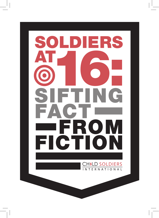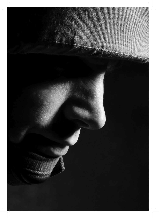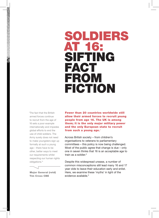# SOLDIERS AT 16: SIFTING FACT FROM FICTION

'The fact that the British armed forces continue to recruit from the age of 16 sets a poor example internationally and impedes global efforts to end the use of child soldiers. The Army surely does not need to make youngsters sign up formally at such a young age – there have to be other, better ways to meet our requirements whilst respecting our human rights obligations.'4

Major General (retd) Tim Cross CBE

Fewer than 20 countries worldwide still allow their armed forces to recruit young people from age 16. The UK is among them; it is the only major military power and the only European state to recruit from such a young age.<sup>1</sup>

Across British society – from children's organisations to veterans to parliamentary committees – this policy is now being challenged. Most of the public agree that change is due – only one in seven thinks that 16 is an acceptable age to train as a soldier.<sup>2</sup>

Despite this widespread unease, a number of common misconceptions still lead many 16 and 17 year olds to leave their education early and enlist. Here, we examine these 'myths' in light of the evidence available.<sup>3</sup>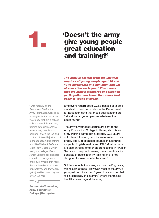## **1. Property 1.5 The STAND STAND STANDARY STAND STAND STAND STAND STAND STAND STAND STAND STAND STAND STAND STAND STAND STAND STAND STAND STAND STAND STAND STAND STAND STAND STAND STAND STAND STAND STAND STAND STAND STAND** give young people great education and training?'

*The army is exempt from the law that requires all young people aged 16 and 17 to participate in a minimum amount of education each year.5 This means that the army's standards of education participation are lower than those that apply to young civilians.*

Employers regard good GCSE passes as a gold standard of basic education – the Department for Education says that these qualifications are 'critical' for all young people, whatever their background.<sup>6</sup>

The army's youngest recruits are sent to the Army Foundation College in Harrogate. It is an army training camp, not a college. GCSEs are not offered. Instead, recruits are enrolled in lowgrade, poorly recognised courses in just three subjects: English, maths and ICT.<sup>7</sup> Most recruits are also enrolled onto an apprenticeship in 'Public Services'. Despite its name, the apprenticeship consists of basic infantry training and is not designed for use outside the army.<sup>8</sup>

Soldiers in technical arms, such as the Engineers, might learn a trade. However, most of the army's youngest recruits – the 16 year olds – join combat roles, especially the infantry,<sup>9</sup> where the training has little value beyond the army.

'I was recently on the Permanent Staff at the Army Foundation College in Harrogate for two years and I would say that it is a college only in name. It is a military training establishment that turns young people into soldiers – that's the top and bottom of it – with just a bit of extra education. It is nothing at all like Welbeck Defence Sixth Form College, which really is a college. Many Junior Soldiers at Harrogate come from backgrounds and environments that make them vulnerable to all sorts of problems, and they often get injured because they are driven too hard.'

Former staff member, Army Foundation College (Harrogate)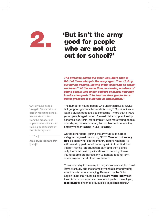### 2. 'But isn't the army good for people who are not cut out for school?'

*The evidence points the other way. More than a third of those who join the army aged 16 or 17 drop out during training, leaving them vulnerable to social exclusion.10 At the same time, increasing numbers of young people who under-achieve at school now stay in education post-16 to improve their grades for a better prospect of a lifetime in employment.11*

The number of young people who under-achieve at GCSE but get good grades after re-sits is rising.12 Opportunities to learn a civilian trade are also increasing – more than 64,000 young people aged under 18 joined civilian apprenticeship schemes in 2013/14, for example.<sup>13</sup> With more young people now staying on in education, the number not in education, employment or training (NEET) is falling.14

On the other hand, joining the army at 16 is a poor safeguard against becoming NEET. Two out of every **five** soldiers who join the infantry before reaching 18 will have dropped out of the army within their first four years.15 Having left education early and then gained only the most basic qualifications in the army, these young people are particularly vulnerable to long-term unemployment and other problems.<sup>16</sup>

Those who stay in the army for longer can fare well, but most leave eventually and the unemployment rate among young ex-soldiers is not encouraging. Research by the British Legion found that young ex-soldiers are **more likely** than their civilian counterparts to be unemployed or, if employed, less likely to find their previous job experience useful.<sup>17</sup>

'Whilst young people can gain from a military career, recruiting schoolleavers diverts them from the broader and superior educational and training opportunities of the civilian system.'

Alex Cunningham MP  $(Lab)^{18}$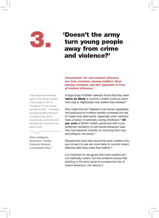### 3. 'Doesn't the army turn young people away from crime and violence?'

*Convictions for non-violent offences are less common among soldiers than among civilians, but the opposite is true of violent offences.*

'I feel that the enlistment age for the military needs to be raised to 18. At the age of 16, our young people are still… choosing the appropriate pathways to enable them to be consciously, politically and socially fully involved in an adult world.'

Chris Gabbett, Principal, Trinity Catholic School, Leamington Spa.<sup>23</sup> A large study of British veterans found that they were twice as likely to commit a violent crime on return from Iraq or Afghanistan than before they enlisted.<sup>19</sup>

Why might this be? Research has shown repeatedly that exposure to frontline warfare increases the risk of violent acts afterwards, especially when veterans have a history of adversity during childhood.<sup>20</sup> 30 per cent of British military personnel with a preenlistment tendency to anti-social behaviour said they had behaved violently on returning from Iraq, according to one study.21

Researchers have also found that even soldiers who are not sent to war are more likely to commit violent offences after they enlist than before.<sup>22</sup>

It is important to recognise that most soldiers are not habitually violent, but this evidence shows that enlisting in the army tends to increase the risk of violent behaviour, not reduce it.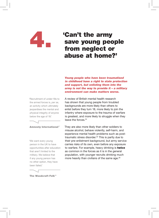# **4. Can't the army<br>
save young people**<br>
from neglect or save young people abuse at home?'

*Young people who have been traumatised in childhood have a right to state protection and support, but enlisting them into the army is not the way to provide it – a military environment can make matters worse.*

A review of British mental health research has shown that young people from troubled

'Recruitment of under-18s to the armed forces is, *per se*, an activity which ultimately jeopardises the mental and physical integrity of anyone below the age of 18.'

Amnesty International<sup>27</sup>

'We want every young person in the UK to have opportunities after education that aren't limited to the military. We believe that if any young person has no other option, they have been failed.'

backgrounds are more likely than others to enlist before they turn 18, more likely to join the infantry where exposure to the trauma of warfare is greatest, and more likely to struggle when they leave the forces.<sup>24</sup> They are also more likely than other soldiers to

misuse alcohol, behave violently, self-harm, and experience mental health problems such as posttraumatic stress disorder.25 This is partly due to their pre-enlistment background, but army service carries risks of its own, even before any exposure to warfare. For example, heavy drinking is twice as common in the forces as it is in the general population, with younger recruits drinking much more heavily than civilians of the same age.<sup>26</sup>

The Woodcraft Folk<sup>28</sup>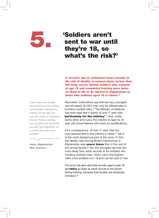## 'Soldiers aren't sent to war until they're 18, so what's the risk?'

*A recruit's age at enlistment bears heavily on the risk of fatality or serious injury across their full army career. British soldiers who enlisted at age 16 and completed training were twice as likely to die or be injured in Afghanistan as those who enlisted aged 18 or above.29*

'I don't think any 16 year old should be in the military, even though I enjoyed the training. At that age you just can't make an informed choice. There is nothing you can get in the army that you can't get elsewhere, as a civilian, and with more freedom.'

John, Afghanistan War veteran.<sup>35</sup>

Recruiters' instructions say that the very youngest recruits (aged 16-16½) may only be offered jobs in frontline combat roles.<sup>30</sup> The Ministry of Defence has even said that it wants 16 and 17 year olds 'particularly for the infantry'.<sup>31</sup> And, unlike some other army jobs, the infantry is open to 16 year old school-leavers who have no qualifications.

As a consequence, 16 and 17 year olds are over-represented in the infantry's intake,<sup>32</sup> yet it is the most dangerous part of the army. In fact, the fatality rate among British infantrymen in Afghanistan was seven times that in the rest of the armed forces.<sup>33</sup> So, the youngest recruits are more likely than adult recruits to be enlisted into frontline combat roles, which carry the highest risks once soldiers turn 18 and can be sent to war.

The army has also said that recruits aged under 18 are **twice** as likely as adult recruits to be injured during training, because their bodies are physically immature.<sup>34</sup>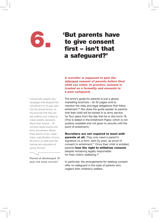## <sup>'But</sup> parents have<br>to give consent<br>first – isn't that to give consent first – isn't that a safeguard?'

*A recruiter is supposed to gain the informed consent of parents before their child can enlist. In practice, consent is treated as a formality and amounts to a poor safeguard.*

'I would fully support any campaign that stopped the recruitment of 16 year olds into the armed forces, on the grounds that they are still children and unable to make realistic decisions about their futures… At schools career events and army recruitment offices there seems to be a false hope, a glorification of army life that is at odds with the training and education of young recruits.'

Parent of discharged 16 year old army recruit<sup>39</sup>

The army's guide for parents is just a glossy marketing brochure – its 32 pages omit to mention the risks and legal obligations that follow enlistment.36 Nor does the guide explain to parents that their child will be locked in to army service for four years from the day that he or she turns 18. (This is stated in the Enlistment Paper, which is not publicly available and not given to recruits until the point of enlistment.)

Recruiters are not required to meet with parents at all. They only need a parent's signature on a form, sent by post, as proof of consent to enlistment.37 Once their child is enlisted, parents lose the right to withdraw consent, despite remaining legally responsible for their child's wellbeing.38

In particular, the arrangements for seeking consent offer no safeguard in the case of parents who neglect their children's welfare.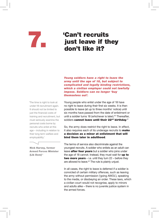## **7. Can't recruits<br>The South Script Service Script Script Script Script Script Script Script Script Script Script Script Script Script Script Script Script Script Script Script Script Script Script Script Script Script Scr** just leave if they don't like it?

*Young soldiers have a right to leave the army until the age of 18, but subject to complicated and legally binding restrictions, which a civilian employer could not lawfully impose. Soldiers can no longer 'buy themselves out'.*

'The time is right to look at under-18 recruitment again. It should not be limited to just the financial costs of training and recruitment, but must seriously examine the personal costs borne by recruits who enlist at this age – including in relation to their long term welfare and employability.'

Nick Harvey, former Armed Forces Minister  $(Lib$  Dem $)<sup>51</sup>$ 

Young people who enlist under the age of 18 have no right to leave during their first six weeks. It is then possible to leave (at up to three months' notice) until six months have passed from the date of enlistment or until a soldier turns 18 (whichever is later).<sup>40</sup> Thereafter, soldiers cannot leave until their 22<sup>nd</sup> birthday.<sup>41</sup>

So, the army does restrict the right to leave. In effect, it also requires each of its underage recruits to make a decision as a minor at enlistment that will bind them later in adulthood.

The terms of service also discriminate against the youngest recruits. A soldier who enlists as an adult can leave **after four years** but a soldier who joins under the age of 18 cannot. Instead, they must wait for up to **two more years**  $-$  i.e. until they turn  $22 -$  before they are allowed to leave.<sup>42</sup> The rule is plainly unjust.

In all cases, the right to leave is deferred if a soldier is convicted of certain military offences, such as leaving the army without permission ('going AWOL'), speaking to the media, or disobeying an order. These laws, which a civilian court would not recognise, apply to minors and adults alike – there is no juvenile justice system in the armed forces.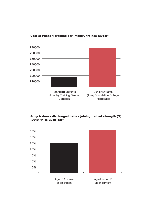

Cost of Phase 1 training per infantry trainee  $(2014)^{43}$ 

Army trainees discharged before joining trained strength (%) (2010-11 to 2012-13)<sup>44</sup>

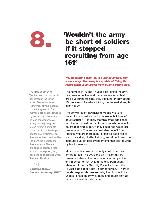### 'Wouldn't the army be short of soldiers if it stopped recruiting from age 16?'

### *No. Recruiting from 16 is a policy choice, not a necessity. The army is capable of filling its ranks without enlisting from such a young age.*

The number of 16 and 17 year olds joining the army has been in decline and, because around a third drop out during training, they account for only about 15 per cent of soldiers joining the 'trained strength' each year.<sup>45</sup>

The army's recent downsizing will allow it to fill the ranks with just a small increase in its intake of adult recruits.46 It is likely that this small additional requirement could be met from those who now enlist before reaching 18 but, if they could not, would still join as adults. The army would also benefit from recruits who are more mature, can be deployed to war zones straight after training, and do not need the separate duty of care arrangements that are required by law for minors.

Most countries now recruit only adults into their armed forces. The UK is the only major military power worldwide, the only country in Europe, the only member of NATO, and the only Permanent Member of the UN Security Council still recruiting 16 year olds directly into its armed forces.<sup>47</sup> There is no demographic reason why the UK should be unable to field an army by recruiting adults only, as most comparable nations do.

'The National Union of Teachers remains profoundly concerned at the British Armed Forces' continued recruitment of young people under the age of 18. Our members are deeply disturbed by this as they can see the serious consequences of young people joining the forces without a complete understanding of the dangers and the potential impact on their mental health and families – let alone the disruption to their education. The mark of a civilised society is that it should not expose young people to adult activities when they are still children…'

Christine Blower, General Secretary, NUT50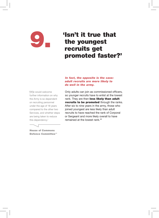## 'Isn't it true that the youngest recruits get promoted faster?'

### *In fact, the opposite is the case: adult recruits are more likely to do well in the army.*

'[W]e would welcome further information on why the Army is so dependent on recruiting personnel under the age of 18 years compared to the other two Services, and whether steps are being taken to reduce this dependency.'

House of Commons Defence Committee<sup>48</sup> Only adults can join as commissioned officers, so younger recruits have to enlist at the lowest rank. They are then less likely than adult recruits to be promoted through the ranks. After six to nine years in the army, those who joined youngest are less likely than adult recruits to have reached the rank of Corporal or Sergeant and more likely overall to have remained at the lowest rank.49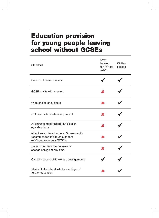## Education provision for young people leaving school without GCSEs

| Standard                                                                                                  | Army<br>training<br>for 16 year<br>$0$ ds <sup>52</sup> | Civilian<br>college |
|-----------------------------------------------------------------------------------------------------------|---------------------------------------------------------|---------------------|
| Sub-GCSE level courses                                                                                    |                                                         |                     |
| GCSE re-sits with support                                                                                 | ×                                                       |                     |
| Wide choice of subjects                                                                                   | Ж                                                       |                     |
| Options for A Levels or equivalent                                                                        | Ж                                                       |                     |
| All entrants meet Raised Participation<br>Age standards                                                   | x                                                       |                     |
| All entrants offered route to Government's<br>recommended minimum standard<br>(A*-C grades in core GCSEs) | Ж                                                       |                     |
| Unrestricted freedom to leave or<br>change college at any time                                            | Ж                                                       |                     |
| Ofsted inspects child welfare arrangements                                                                |                                                         |                     |
| Meets Ofsted standards for a college of<br>further education                                              |                                                         |                     |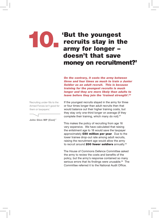## <sup>'But the youngest<br>recruits stay in th<br>army for longer –</sup> recruits stay in the army for longer – doesn't that save money on recruitment?'

*On the contrary, it costs the army between three and four times as much to train a Junior Soldier as an adult recruit. This is because training for the youngest recruits is much longer and they are more likely than adults to leave before they join the 'trained strength'.53*

'Recruiting under-18s to the Armed Forces isn't good for them or taxpayers.'

John Glen MP (Con)<sup>57</sup>

If the youngest recruits stayed in the army for three or four times longer than adult recruits then that would balance out their higher training costs, but they stay only one-third longer on average (if they complete their training, which many do not).<sup>54</sup>

This makes the policy of recruiting from age 16 very expensive. We have calculated that raising the enlistment age to 18 would save the taxpayer approximately  $£50$  million per year. Due to the lower trainee drop-out rate among adult recruits, raising the recruitment age would allow the army to recruit around 200 fewer soldiers annually.<sup>55</sup>

The House of Commons Defence Committee asked the army to review the costs and benefits of the policy, but the army's response contained so many serious errors that its findings were unusable.<sup>56</sup> The Committee referred it to the National Audit Office.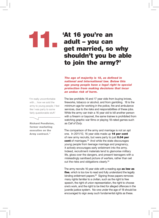## **11. "At 16 you're an<br>adult – you can<br>get married, so** adult – you can get married, so why shouldn't you be able to join the army?'

*The age of majority is 18, as defined in national and international law. Below this age young people have a legal right to special protection from making decisions that incur an undue risk of harm.*

'I'm really uncomfortable with… how we sold the army to young people; I feel like I was party to some fairly questionable stuff.'

Richard Pendleton, former marketing executive on the Army contract.<sup>61</sup>

The law prohibits 16 and 17 year olds from buying knives, fireworks, tobacco or alcohol, and from gambling. 18 is the minimum age for working in the police, fire and ambulance services, due to the risks and responsibilities of these jobs. While the army can train a 16 year old to kill another person with a firearm or bayonet, the same trainee is prohibited from watching graphic war films or playing 18-rated games such as *Call of Duty*.

The comparison of the army and marriage is not an apt one. In 2011/12, 16 year olds made up 14 per cent of new army recruits, but were party to just **0.04 per** cent of marriages.<sup>58</sup> And while the state discourages young people from teenage marriage and pregnancy, it actively encourages early enlistment into the army. Indeed, recruitment materials tend to glamorise military life, gloss over the dangers, and present teenagers with a misleadingly sanitised picture of warfare, rather than set out the risks and obligations clearly.<sup>59</sup>

The army recruits 16 year olds with a reading age as low as five, which is too low to read and fully understand the legally binding enlistment papers.<sup>60</sup> Signing those papers removes many rights familiar to a civilian, such as the right to free speech, the right of union representation, the right to choose one's work, and the right to be tried for alleged offences in the juvenile justice system. No-one under the age of 18 should be encouraged to sign away such fundamental rights as these.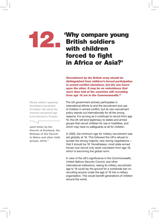## **12. 'Why compare young<br>British soldiers<br>with children** British soldiers with children forced to fight in Africa or Asia?'

*Recruitment by the British army should be distinguished from children's forced participation in armed conflict elsewhere, but the one bears upon the other. It may be no coincidence that more than half of the countries still recruiting from age 16 are in the Commonwealth.62*

'We are united in opposing the [military] recruitment of children. We call for the minimum recruitment age to be returned to 18 years.'

Joint letter by the Church of Scotland, the Bishops of the Church in Wales and other faith groups, 2013.63

The UK government actively participates in international efforts to end the recruitment and use of children in armed conflict, but its own recruitment policy stands out internationally for all the wrong reasons. For as long as it continues to recruit from age 16, the UK will lend legitimacy to states and armed groups that recruit children for use in hostilities, and which may have no safeguards at all for children.

In 2000, the minimum age for military recruitment was set globally at 16. This followed the UK's refusal to accept the strong majority view during negotiations – that it should be 18. Nonetheless, most state armed forces now recruit only adult volunteers from age 18, which is becoming the global norm.

In view of the UK's significance in the Commonwealth, United Nations Security Council, and other international institutions, raising its military recruitment age to 18 could lay the ground for a worldwide ban on recruiting anyone under the age of 18 into a military organisation. This would benefit generations of children around the world.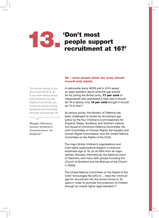## 13. 'Don't most<br>recruitment people support recruitment at 16?'

### *No – most people think the army should recruit only adults.*

'You are too young to join the armed forces at 16... If you were serious about the Convention [on the Rights of the Child], you would not expect [young people] to join the armed services until they are 18.'

Maggie Atkinson, former Children's Commissioner for  $England^{66}$ 

A nationwide Ipsos MORI poll in 2014 asked an open question about what the age should be for joining the British army. 77 per cent of respondents who expressed a view said it should be 18 or above; only **14 per cent** thought it should be 16 or less. $64$ 

At various points, the Ministry of Defence has been challenged to review its recruitment age policy by the four Children's Commissioners for England, Wales, Scotland, and Northern Ireland; the House of Commons Defence Committee; the Joint Committee on Human Rights; the Equality and Human Rights Commission; and the United Nations Committee on the Rights of the Child.

The major British children's organisations and child rights organisations support a minimum enlistment age of 18, as do MPs from all major parties, Amnesty International, the National Union of Teachers, and many faith groups including the Church of Scotland and the Bishops of the Church in Wales.

The United Nations Committee on the Rights of the Child 'encourages the [UK] to ... raise the minimum age for recruitment into the armed forces to 18 years in order to promote the protection of children through an overall higher legal standard'.65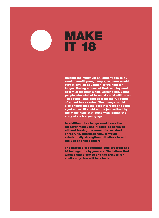# MAKE IT 18

Raising the minimum enlistment age to 18 would benefit young people, as more would stay in civilian education or training for longer. Having enhanced their employment potential for their whole working life, young people who wished to enlist could still do so – as adults – and choose from the full range of armed forces roles. The change would also ensure that the best interests of people aged under 18 could not be jeopardised by the many risks that come with joining the army at such a young age.

In addition, the change would save the taxpayer money and it could be achieved without leaving the armed forces short of recruits. Internationally, it would substantially strengthen initiatives to end the use of child soldiers.

The practice of recruiting soldiers from age 16 belongs to a bygone era. We believe that when change comes and the army is for adults only, few will look back.